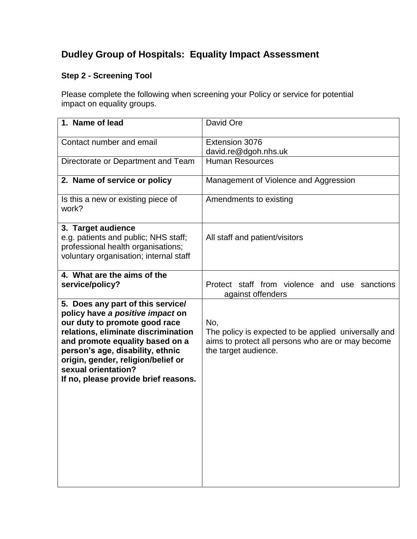## **Dudley Group of Hospitals: Equality Impact Assessment**

## **Step 2 - Screening Tool**

Please complete the following when screening your Policy or service for potential impact on equality groups.

| David Ore                                                                                                                                |
|------------------------------------------------------------------------------------------------------------------------------------------|
| Extension 3076<br>david.re@dgoh.nhs.uk                                                                                                   |
| <b>Human Resources</b>                                                                                                                   |
| Management of Violence and Aggression                                                                                                    |
| Amendments to existing                                                                                                                   |
| All staff and patient/visitors                                                                                                           |
| Protect staff from violence and use sanctions<br>against offenders                                                                       |
| No,<br>The policy is expected to be applied universally and<br>aims to protect all persons who are or may become<br>the target audience. |
|                                                                                                                                          |